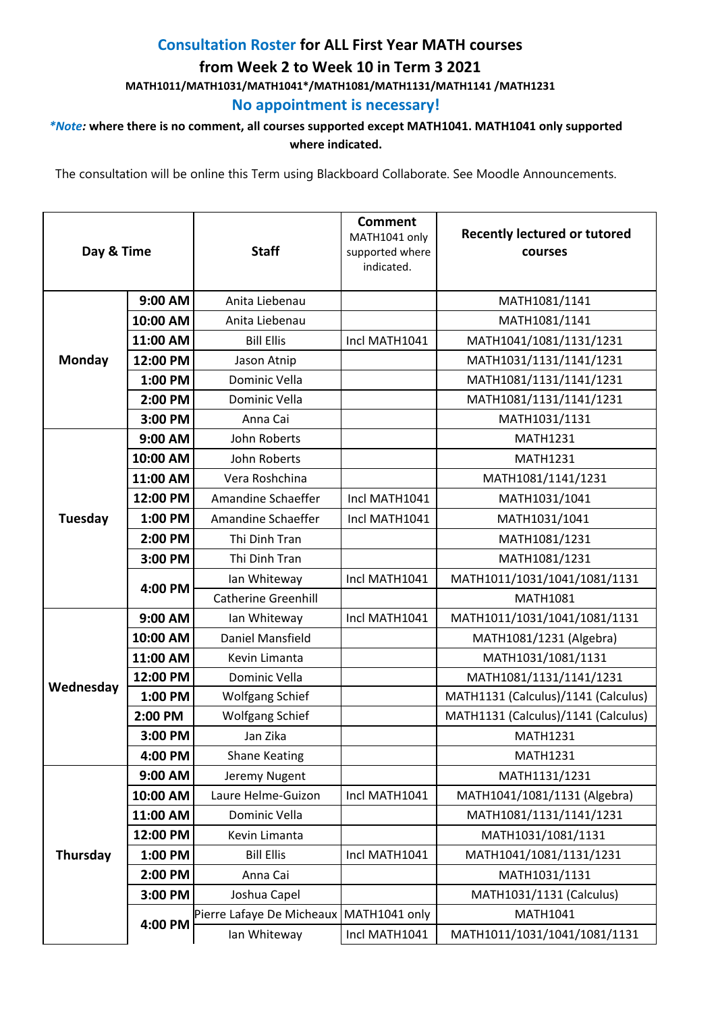## **Consultation Roster for ALL First Year MATH courses from Week 2 to Week 10 in Term 3 2021 MATH1011/MATH1031/MATH1041\*/MATH1081/MATH1131/MATH1141 /MATH1231**

## **No appointment is necessary!**

## *\*Note:* **where there is no comment, all courses supported except MATH1041. MATH1041 only supported where indicated.**

The consultation will be online this Term using Blackboard Collaborate. See Moodle Announcements.

| Day & Time     |          | <b>Staff</b>                              | <b>Comment</b><br>MATH1041 only<br>supported where<br>indicated. | <b>Recently lectured or tutored</b><br>courses |
|----------------|----------|-------------------------------------------|------------------------------------------------------------------|------------------------------------------------|
| Monday         | 9:00 AM  | Anita Liebenau                            |                                                                  | MATH1081/1141                                  |
|                | 10:00 AM | Anita Liebenau                            |                                                                  | MATH1081/1141                                  |
|                | 11:00 AM | <b>Bill Ellis</b>                         | Incl MATH1041                                                    | MATH1041/1081/1131/1231                        |
|                | 12:00 PM | Jason Atnip                               |                                                                  | MATH1031/1131/1141/1231                        |
|                | 1:00 PM  | Dominic Vella                             |                                                                  | MATH1081/1131/1141/1231                        |
|                | 2:00 PM  | Dominic Vella                             |                                                                  | MATH1081/1131/1141/1231                        |
|                | 3:00 PM  | Anna Cai                                  |                                                                  | MATH1031/1131                                  |
| <b>Tuesday</b> | 9:00 AM  | John Roberts                              |                                                                  | <b>MATH1231</b>                                |
|                | 10:00 AM | John Roberts                              |                                                                  | <b>MATH1231</b>                                |
|                | 11:00 AM | Vera Roshchina                            |                                                                  | MATH1081/1141/1231                             |
|                | 12:00 PM | Amandine Schaeffer                        | Incl MATH1041                                                    | MATH1031/1041                                  |
|                | 1:00 PM  | Amandine Schaeffer                        | Incl MATH1041                                                    | MATH1031/1041                                  |
|                | 2:00 PM  | Thi Dinh Tran                             |                                                                  | MATH1081/1231                                  |
|                | 3:00 PM  | Thi Dinh Tran                             |                                                                  | MATH1081/1231                                  |
|                |          | Ian Whiteway                              | Incl MATH1041                                                    | MATH1011/1031/1041/1081/1131                   |
|                | 4:00 PM  | <b>Catherine Greenhill</b>                |                                                                  | <b>MATH1081</b>                                |
|                | 9:00 AM  | Ian Whiteway                              | Incl MATH1041                                                    | MATH1011/1031/1041/1081/1131                   |
|                | 10:00 AM | Daniel Mansfield                          |                                                                  | MATH1081/1231 (Algebra)                        |
|                | 11:00 AM | Kevin Limanta                             |                                                                  | MATH1031/1081/1131                             |
| Wednesday      | 12:00 PM | <b>Dominic Vella</b>                      |                                                                  | MATH1081/1131/1141/1231                        |
|                | 1:00 PM  | <b>Wolfgang Schief</b>                    |                                                                  | MATH1131 (Calculus)/1141 (Calculus)            |
|                | 2:00 PM  | <b>Wolfgang Schief</b>                    |                                                                  | MATH1131 (Calculus)/1141 (Calculus)            |
|                | 3:00 PM  | Jan Zika                                  |                                                                  | <b>MATH1231</b>                                |
|                | 4:00 PM  | <b>Shane Keating</b>                      |                                                                  | <b>MATH1231</b>                                |
| Thursday       | 9:00 AM  | Jeremy Nugent                             |                                                                  | MATH1131/1231                                  |
|                | 10:00 AM | Laure Helme-Guizon                        | Incl MATH1041                                                    | MATH1041/1081/1131 (Algebra)                   |
|                | 11:00 AM | Dominic Vella                             |                                                                  | MATH1081/1131/1141/1231                        |
|                | 12:00 PM | Kevin Limanta                             |                                                                  | MATH1031/1081/1131                             |
|                | 1:00 PM  | <b>Bill Ellis</b>                         | Incl MATH1041                                                    | MATH1041/1081/1131/1231                        |
|                | 2:00 PM  | Anna Cai                                  |                                                                  | MATH1031/1131                                  |
|                | 3:00 PM  | Joshua Capel                              |                                                                  | MATH1031/1131 (Calculus)                       |
|                | 4:00 PM  | Pierre Lafaye De Micheaux   MATH1041 only |                                                                  | MATH1041                                       |
|                |          | lan Whiteway                              | Incl MATH1041                                                    | MATH1011/1031/1041/1081/1131                   |